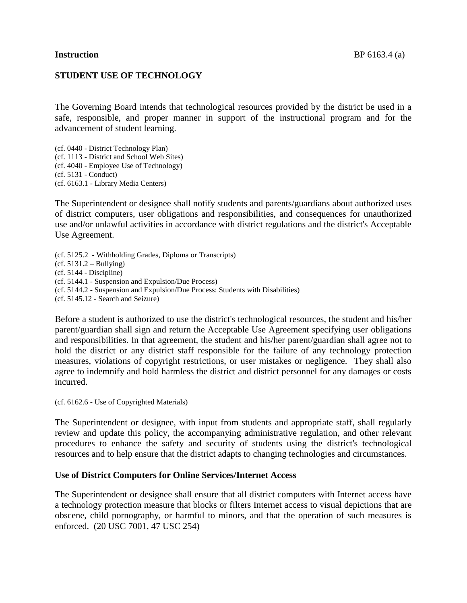## **STUDENT USE OF TECHNOLOGY**

The Governing Board intends that technological resources provided by the district be used in a safe, responsible, and proper manner in support of the instructional program and for the advancement of student learning.

(cf. 0440 - District Technology Plan) (cf. 1113 - District and School Web Sites) (cf. 4040 - Employee Use of Technology) (cf. 5131 - Conduct) (cf. 6163.1 - Library Media Centers)

The Superintendent or designee shall notify students and parents/guardians about authorized uses of district computers, user obligations and responsibilities, and consequences for unauthorized use and/or unlawful activities in accordance with district regulations and the district's Acceptable Use Agreement.

(cf. 5125.2 - Withholding Grades, Diploma or Transcripts)  $(cf. 5131.2 - Bullying)$ (cf. 5144 - Discipline) (cf. 5144.1 - Suspension and Expulsion/Due Process) (cf. 5144.2 - Suspension and Expulsion/Due Process: Students with Disabilities) (cf. 5145.12 - Search and Seizure)

Before a student is authorized to use the district's technological resources, the student and his/her parent/guardian shall sign and return the Acceptable Use Agreement specifying user obligations and responsibilities. In that agreement, the student and his/her parent/guardian shall agree not to hold the district or any district staff responsible for the failure of any technology protection measures, violations of copyright restrictions, or user mistakes or negligence. They shall also agree to indemnify and hold harmless the district and district personnel for any damages or costs incurred.

(cf. 6162.6 - Use of Copyrighted Materials)

The Superintendent or designee, with input from students and appropriate staff, shall regularly review and update this policy, the accompanying administrative regulation, and other relevant procedures to enhance the safety and security of students using the district's technological resources and to help ensure that the district adapts to changing technologies and circumstances.

#### **Use of District Computers for Online Services/Internet Access**

The Superintendent or designee shall ensure that all district computers with Internet access have a technology protection measure that blocks or filters Internet access to visual depictions that are obscene, child pornography, or harmful to minors, and that the operation of such measures is enforced. (20 USC 7001, 47 USC 254)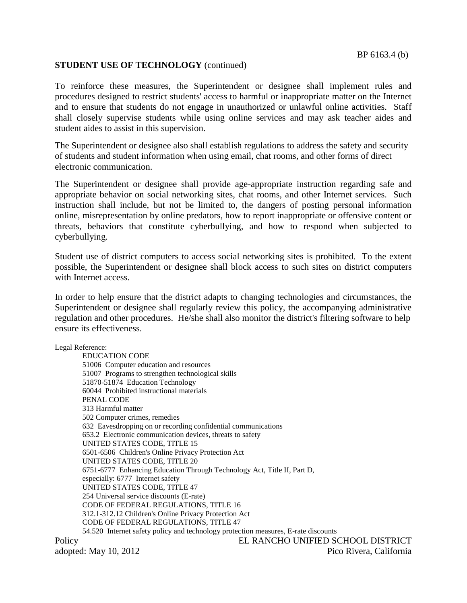## **STUDENT USE OF TECHNOLOGY** (continued)

To reinforce these measures, the Superintendent or designee shall implement rules and procedures designed to restrict students' access to harmful or inappropriate matter on the Internet and to ensure that students do not engage in unauthorized or unlawful online activities. Staff shall closely supervise students while using online services and may ask teacher aides and student aides to assist in this supervision.

The Superintendent or designee also shall establish regulations to address the safety and security of students and student information when using email, chat rooms, and other forms of direct electronic communication.

The Superintendent or designee shall provide age-appropriate instruction regarding safe and appropriate behavior on social networking sites, chat rooms, and other Internet services. Such instruction shall include, but not be limited to, the dangers of posting personal information online, misrepresentation by online predators, how to report inappropriate or offensive content or threats, behaviors that constitute cyberbullying, and how to respond when subjected to cyberbullying.

Student use of district computers to access social networking sites is prohibited. To the extent possible, the Superintendent or designee shall block access to such sites on district computers with Internet access.

In order to help ensure that the district adapts to changing technologies and circumstances, the Superintendent or designee shall regularly review this policy, the accompanying administrative regulation and other procedures. He/she shall also monitor the district's filtering software to help ensure its effectiveness.

Legal Reference:

EDUCATION CODE 51006 Computer education and resources 51007 Programs to strengthen technological skills 51870-51874 Education Technology 60044 Prohibited instructional materials PENAL CODE 313 Harmful matter 502 Computer crimes, remedies 632 Eavesdropping on or recording confidential communications 653.2 Electronic communication devices, threats to safety UNITED STATES CODE, TITLE 15 6501-6506 Children's Online Privacy Protection Act UNITED STATES CODE, TITLE 20 6751-6777 Enhancing Education Through Technology Act, Title II, Part D, especially: 6777 Internet safety UNITED STATES CODE, TITLE 47 254 Universal service discounts (E-rate) CODE OF FEDERAL REGULATIONS, TITLE 16 312.1-312.12 Children's Online Privacy Protection Act CODE OF FEDERAL REGULATIONS, TITLE 47 54.520 Internet safety policy and technology protection measures, E-rate discounts Policy EL RANCHO UNIFIED SCHOOL DISTRICT adopted: May 10, 2012 Pico Rivera, California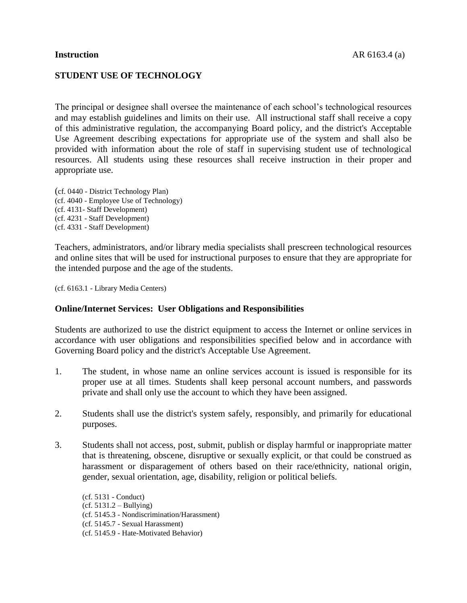# **STUDENT USE OF TECHNOLOGY**

The principal or designee shall oversee the maintenance of each school's technological resources and may establish guidelines and limits on their use. All instructional staff shall receive a copy of this administrative regulation, the accompanying Board policy, and the district's Acceptable Use Agreement describing expectations for appropriate use of the system and shall also be provided with information about the role of staff in supervising student use of technological resources. All students using these resources shall receive instruction in their proper and appropriate use.

(cf. 0440 - District Technology Plan) (cf. 4040 - Employee Use of Technology) (cf. 4131- Staff Development) (cf. 4231 - Staff Development) (cf. 4331 - Staff Development)

Teachers, administrators, and/or library media specialists shall prescreen technological resources and online sites that will be used for instructional purposes to ensure that they are appropriate for the intended purpose and the age of the students.

(cf. 6163.1 - Library Media Centers)

#### **Online/Internet Services: User Obligations and Responsibilities**

Students are authorized to use the district equipment to access the Internet or online services in accordance with user obligations and responsibilities specified below and in accordance with Governing Board policy and the district's Acceptable Use Agreement.

- 1. The student, in whose name an online services account is issued is responsible for its proper use at all times. Students shall keep personal account numbers, and passwords private and shall only use the account to which they have been assigned.
- 2. Students shall use the district's system safely, responsibly, and primarily for educational purposes.
- 3. Students shall not access, post, submit, publish or display harmful or inappropriate matter that is threatening, obscene, disruptive or sexually explicit, or that could be construed as harassment or disparagement of others based on their race/ethnicity, national origin, gender, sexual orientation, age, disability, religion or political beliefs.

(cf. 5131 - Conduct)  $(cf. 5131.2 - Bullying)$ (cf. 5145.3 - Nondiscrimination/Harassment) (cf. 5145.7 - Sexual Harassment) (cf. 5145.9 - Hate-Motivated Behavior)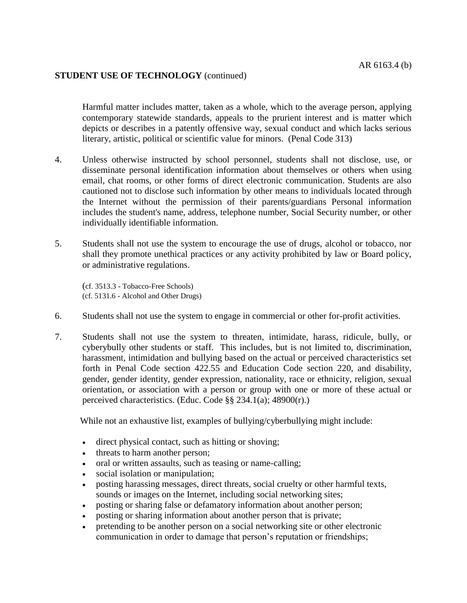## **STUDENT USE OF TECHNOLOGY** (continued)

Harmful matter includes matter, taken as a whole, which to the average person, applying contemporary statewide standards, appeals to the prurient interest and is matter which depicts or describes in a patently offensive way, sexual conduct and which lacks serious literary, artistic, political or scientific value for minors. (Penal Code 313)

- 4. Unless otherwise instructed by school personnel, students shall not disclose, use, or disseminate personal identification information about themselves or others when using email, chat rooms, or other forms of direct electronic communication. Students are also cautioned not to disclose such information by other means to individuals located through the Internet without the permission of their parents/guardians Personal information includes the student's name, address, telephone number, Social Security number, or other individually identifiable information.
- 5. Students shall not use the system to encourage the use of drugs, alcohol or tobacco, nor shall they promote unethical practices or any activity prohibited by law or Board policy, or administrative regulations.

(cf. 3513.3 - Tobacco-Free Schools) (cf. 5131.6 - Alcohol and Other Drugs)

- 6. Students shall not use the system to engage in commercial or other for-profit activities.
- 7. Students shall not use the system to threaten, intimidate, harass, ridicule, bully, or cyberybully other students or staff. This includes, but is not limited to, discrimination, harassment, intimidation and bullying based on the actual or perceived characteristics set forth in Penal Code section 422.55 and Education Code section 220, and disability, gender, gender identity, gender expression, nationality, race or ethnicity, religion, sexual orientation, or association with a person or group with one or more of these actual or perceived characteristics. (Educ. Code §§ 234.1(a); 48900(r).)

While not an exhaustive list, examples of bullying/cyberbullying might include:

- direct physical contact, such as hitting or shoving;
- threats to harm another person;
- oral or written assaults, such as teasing or name-calling;
- social isolation or manipulation;
- posting harassing messages, direct threats, social cruelty or other harmful texts, sounds or images on the Internet, including social networking sites;
- posting or sharing false or defamatory information about another person;
- posting or sharing information about another person that is private;
- pretending to be another person on a social networking site or other electronic communication in order to damage that person's reputation or friendships;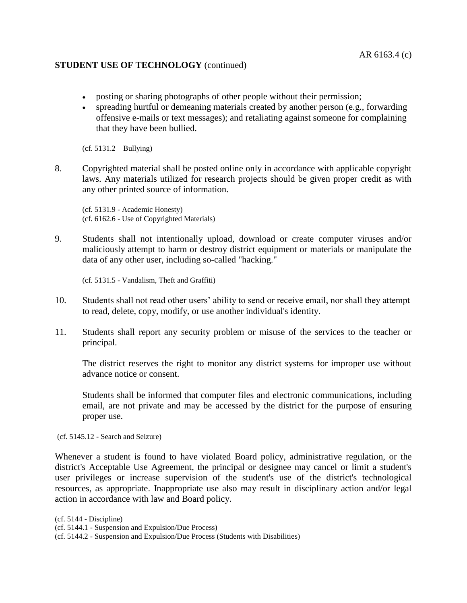## **STUDENT USE OF TECHNOLOGY** (continued)

- posting or sharing photographs of other people without their permission;
- spreading hurtful or demeaning materials created by another person (e.g., forwarding offensive e-mails or text messages); and retaliating against someone for complaining that they have been bullied.

(cf. 5131.2 – Bullying)

8. Copyrighted material shall be posted online only in accordance with applicable copyright laws. Any materials utilized for research projects should be given proper credit as with any other printed source of information.

(cf. 5131.9 - Academic Honesty) (cf. 6162.6 - Use of Copyrighted Materials)

9. Students shall not intentionally upload, download or create computer viruses and/or maliciously attempt to harm or destroy district equipment or materials or manipulate the data of any other user, including so-called "hacking."

(cf. 5131.5 - Vandalism, Theft and Graffiti)

- 10. Students shall not read other users' ability to send or receive email, nor shall they attempt to read, delete, copy, modify, or use another individual's identity.
- 11. Students shall report any security problem or misuse of the services to the teacher or principal.

The district reserves the right to monitor any district systems for improper use without advance notice or consent.

Students shall be informed that computer files and electronic communications, including email, are not private and may be accessed by the district for the purpose of ensuring proper use.

(cf. 5145.12 - Search and Seizure)

Whenever a student is found to have violated Board policy, administrative regulation, or the district's Acceptable Use Agreement, the principal or designee may cancel or limit a student's user privileges or increase supervision of the student's use of the district's technological resources, as appropriate. Inappropriate use also may result in disciplinary action and/or legal action in accordance with law and Board policy.

(cf. 5144 - Discipline)

(cf. 5144.1 - Suspension and Expulsion/Due Process)

<sup>(</sup>cf. 5144.2 - Suspension and Expulsion/Due Process (Students with Disabilities)